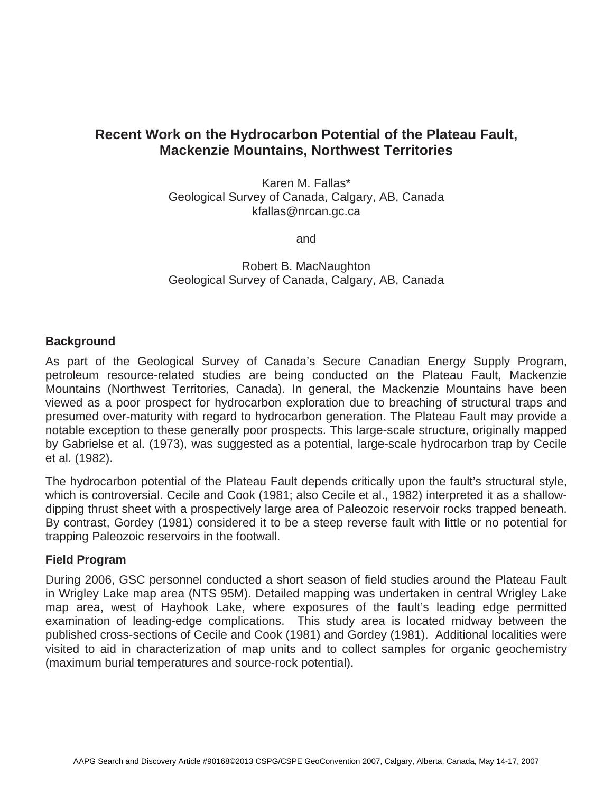# **Recent Work on the Hydrocarbon Potential of the Plateau Fault, Mackenzie Mountains, Northwest Territories**

Karen M. Fallas\* Geological Survey of Canada, Calgary, AB, Canada kfallas@nrcan.gc.ca

and

Robert B. MacNaughton Geological Survey of Canada, Calgary, AB, Canada

## **Background**

As part of the Geological Survey of Canada's Secure Canadian Energy Supply Program, petroleum resource-related studies are being conducted on the Plateau Fault, Mackenzie Mountains (Northwest Territories, Canada). In general, the Mackenzie Mountains have been viewed as a poor prospect for hydrocarbon exploration due to breaching of structural traps and presumed over-maturity with regard to hydrocarbon generation. The Plateau Fault may provide a notable exception to these generally poor prospects. This large-scale structure, originally mapped by Gabrielse et al. (1973), was suggested as a potential, large-scale hydrocarbon trap by Cecile et al. (1982).

The hydrocarbon potential of the Plateau Fault depends critically upon the fault's structural style, which is controversial. Cecile and Cook (1981; also Cecile et al., 1982) interpreted it as a shallowdipping thrust sheet with a prospectively large area of Paleozoic reservoir rocks trapped beneath. By contrast, Gordey (1981) considered it to be a steep reverse fault with little or no potential for trapping Paleozoic reservoirs in the footwall.

## **Field Program**

During 2006, GSC personnel conducted a short season of field studies around the Plateau Fault in Wrigley Lake map area (NTS 95M). Detailed mapping was undertaken in central Wrigley Lake map area, west of Hayhook Lake, where exposures of the fault's leading edge permitted examination of leading-edge complications. This study area is located midway between the published cross-sections of Cecile and Cook (1981) and Gordey (1981). Additional localities were visited to aid in characterization of map units and to collect samples for organic geochemistry (maximum burial temperatures and source-rock potential).